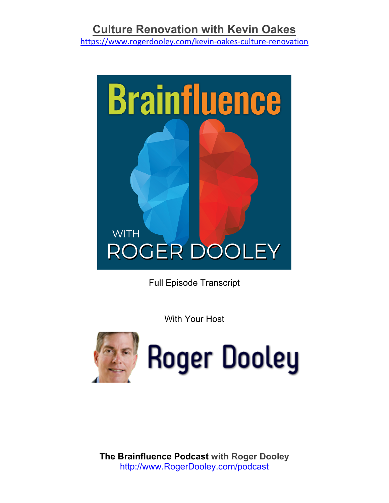https://www.rogerdooley.com/kevin-oakes-culture-renovation



Full Episode Transcript

With Your Host



**Roger Dooley**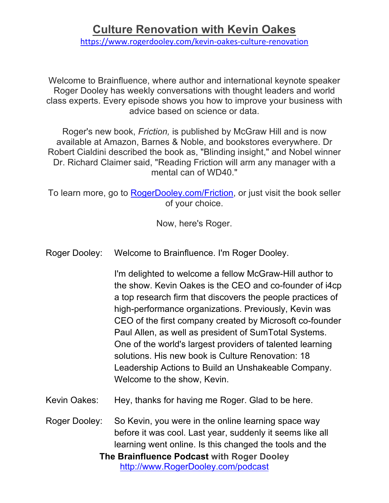https://www.rogerdooley.com/kevin-oakes-culture-renovation

Welcome to Brainfluence, where author and international keynote speaker Roger Dooley has weekly conversations with thought leaders and world class experts. Every episode shows you how to improve your business with advice based on science or data.

Roger's new book, *Friction,* is published by McGraw Hill and is now available at Amazon, Barnes & Noble, and bookstores everywhere. Dr Robert Cialdini described the book as, "Blinding insight," and Nobel winner Dr. Richard Claimer said, "Reading Friction will arm any manager with a mental can of WD40."

To learn more, go to RogerDooley.com/Friction, or just visit the book seller of your choice.

Now, here's Roger.

Roger Dooley: Welcome to Brainfluence. I'm Roger Dooley.

I'm delighted to welcome a fellow McGraw-Hill author to the show. Kevin Oakes is the CEO and co-founder of i4cp a top research firm that discovers the people practices of high-performance organizations. Previously, Kevin was CEO of the first company created by Microsoft co-founder Paul Allen, as well as president of SumTotal Systems. One of the world's largest providers of talented learning solutions. His new book is Culture Renovation: 18 Leadership Actions to Build an Unshakeable Company. Welcome to the show, Kevin.

Kevin Oakes: Hey, thanks for having me Roger. Glad to be here.

**The Brainfluence Podcast with Roger Dooley** http://www.RogerDooley.com/podcast Roger Dooley: So Kevin, you were in the online learning space way before it was cool. Last year, suddenly it seems like all learning went online. Is this changed the tools and the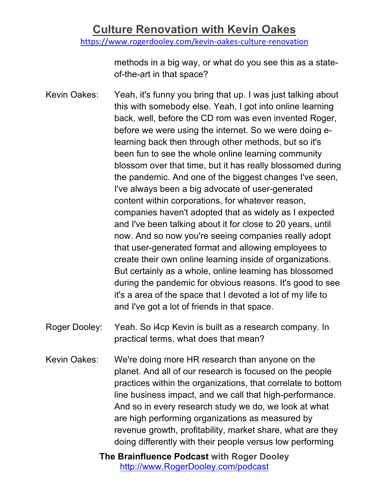https://www.rogerdooley.com/kevin-oakes-culture-renovation

methods in a big way, or what do you see this as a stateof-the-art in that space?

Kevin Oakes: Yeah, it's funny you bring that up. I was just talking about this with somebody else. Yeah, I got into online learning back, well, before the CD rom was even invented Roger, before we were using the internet. So we were doing elearning back then through other methods, but so it's been fun to see the whole online learning community blossom over that time, but it has really blossomed during the pandemic. And one of the biggest changes I've seen, I've always been a big advocate of user-generated content within corporations, for whatever reason, companies haven't adopted that as widely as I expected and I've been talking about it for close to 20 years, until now. And so now you're seeing companies really adopt that user-generated format and allowing employees to create their own online learning inside of organizations. But certainly as a whole, online learning has blossomed during the pandemic for obvious reasons. It's good to see it's a area of the space that I devoted a lot of my life to and I've got a lot of friends in that space.

- Roger Dooley: Yeah. So i4cp Kevin is built as a research company. In practical terms, what does that mean?
- Kevin Oakes: We're doing more HR research than anyone on the planet. And all of our research is focused on the people practices within the organizations, that correlate to bottom line business impact, and we call that high-performance. And so in every research study we do, we look at what are high performing organizations as measured by revenue growth, profitability, market share, what are they doing differently with their people versus low performing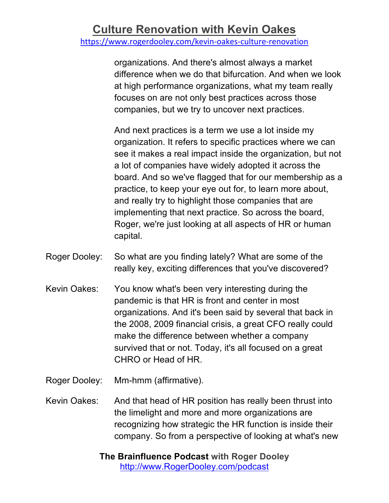https://www.rogerdooley.com/kevin-oakes-culture-renovation

organizations. And there's almost always a market difference when we do that bifurcation. And when we look at high performance organizations, what my team really focuses on are not only best practices across those companies, but we try to uncover next practices.

And next practices is a term we use a lot inside my organization. It refers to specific practices where we can see it makes a real impact inside the organization, but not a lot of companies have widely adopted it across the board. And so we've flagged that for our membership as a practice, to keep your eye out for, to learn more about, and really try to highlight those companies that are implementing that next practice. So across the board, Roger, we're just looking at all aspects of HR or human capital.

- Roger Dooley: So what are you finding lately? What are some of the really key, exciting differences that you've discovered?
- Kevin Oakes: You know what's been very interesting during the pandemic is that HR is front and center in most organizations. And it's been said by several that back in the 2008, 2009 financial crisis, a great CFO really could make the difference between whether a company survived that or not. Today, it's all focused on a great CHRO or Head of HR.
- Roger Dooley: Mm-hmm (affirmative).

Kevin Oakes: And that head of HR position has really been thrust into the limelight and more and more organizations are recognizing how strategic the HR function is inside their company. So from a perspective of looking at what's new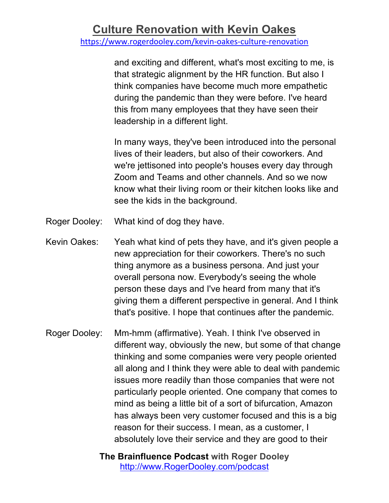https://www.rogerdooley.com/kevin-oakes-culture-renovation

and exciting and different, what's most exciting to me, is that strategic alignment by the HR function. But also I think companies have become much more empathetic during the pandemic than they were before. I've heard this from many employees that they have seen their leadership in a different light.

In many ways, they've been introduced into the personal lives of their leaders, but also of their coworkers. And we're jettisoned into people's houses every day through Zoom and Teams and other channels. And so we now know what their living room or their kitchen looks like and see the kids in the background.

- Roger Dooley: What kind of dog they have.
- Kevin Oakes: Yeah what kind of pets they have, and it's given people a new appreciation for their coworkers. There's no such thing anymore as a business persona. And just your overall persona now. Everybody's seeing the whole person these days and I've heard from many that it's giving them a different perspective in general. And I think that's positive. I hope that continues after the pandemic.
- Roger Dooley: Mm-hmm (affirmative). Yeah. I think I've observed in different way, obviously the new, but some of that change thinking and some companies were very people oriented all along and I think they were able to deal with pandemic issues more readily than those companies that were not particularly people oriented. One company that comes to mind as being a little bit of a sort of bifurcation, Amazon has always been very customer focused and this is a big reason for their success. I mean, as a customer, I absolutely love their service and they are good to their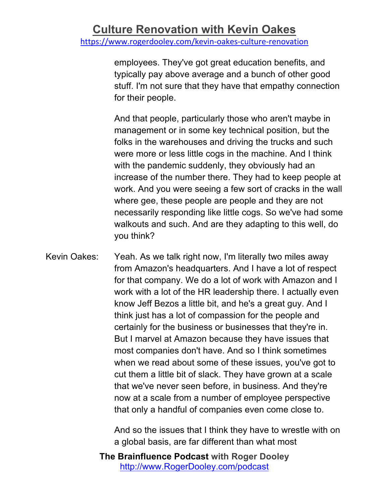employees. They've got great education benefits, and typically pay above average and a bunch of other good stuff. I'm not sure that they have that empathy connection for their people.

And that people, particularly those who aren't maybe in management or in some key technical position, but the folks in the warehouses and driving the trucks and such were more or less little cogs in the machine. And I think with the pandemic suddenly, they obviously had an increase of the number there. They had to keep people at work. And you were seeing a few sort of cracks in the wall where gee, these people are people and they are not necessarily responding like little cogs. So we've had some walkouts and such. And are they adapting to this well, do you think?

Kevin Oakes: Yeah. As we talk right now, I'm literally two miles away from Amazon's headquarters. And I have a lot of respect for that company. We do a lot of work with Amazon and I work with a lot of the HR leadership there. I actually even know Jeff Bezos a little bit, and he's a great guy. And I think just has a lot of compassion for the people and certainly for the business or businesses that they're in. But I marvel at Amazon because they have issues that most companies don't have. And so I think sometimes when we read about some of these issues, you've got to cut them a little bit of slack. They have grown at a scale that we've never seen before, in business. And they're now at a scale from a number of employee perspective that only a handful of companies even come close to.

> And so the issues that I think they have to wrestle with on a global basis, are far different than what most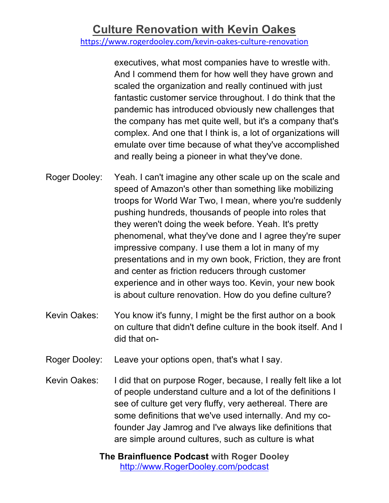https://www.rogerdooley.com/kevin-oakes-culture-renovation

executives, what most companies have to wrestle with. And I commend them for how well they have grown and scaled the organization and really continued with just fantastic customer service throughout. I do think that the pandemic has introduced obviously new challenges that the company has met quite well, but it's a company that's complex. And one that I think is, a lot of organizations will emulate over time because of what they've accomplished and really being a pioneer in what they've done.

- Roger Dooley: Yeah. I can't imagine any other scale up on the scale and speed of Amazon's other than something like mobilizing troops for World War Two, I mean, where you're suddenly pushing hundreds, thousands of people into roles that they weren't doing the week before. Yeah. It's pretty phenomenal, what they've done and I agree they're super impressive company. I use them a lot in many of my presentations and in my own book, Friction, they are front and center as friction reducers through customer experience and in other ways too. Kevin, your new book is about culture renovation. How do you define culture?
- Kevin Oakes: You know it's funny, I might be the first author on a book on culture that didn't define culture in the book itself. And I did that on-
- Roger Dooley: Leave your options open, that's what I say.
- Kevin Oakes: I did that on purpose Roger, because, I really felt like a lot of people understand culture and a lot of the definitions I see of culture get very fluffy, very aethereal. There are some definitions that we've used internally. And my cofounder Jay Jamrog and I've always like definitions that are simple around cultures, such as culture is what
	- **The Brainfluence Podcast with Roger Dooley** http://www.RogerDooley.com/podcast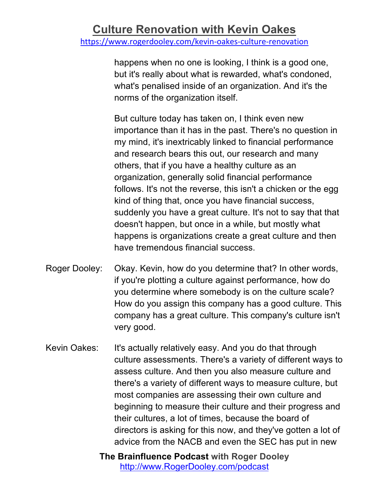happens when no one is looking, I think is a good one, but it's really about what is rewarded, what's condoned, what's penalised inside of an organization. And it's the norms of the organization itself.

But culture today has taken on, I think even new importance than it has in the past. There's no question in my mind, it's inextricably linked to financial performance and research bears this out, our research and many others, that if you have a healthy culture as an organization, generally solid financial performance follows. It's not the reverse, this isn't a chicken or the egg kind of thing that, once you have financial success, suddenly you have a great culture. It's not to say that that doesn't happen, but once in a while, but mostly what happens is organizations create a great culture and then have tremendous financial success.

- Roger Dooley: Okay. Kevin, how do you determine that? In other words, if you're plotting a culture against performance, how do you determine where somebody is on the culture scale? How do you assign this company has a good culture. This company has a great culture. This company's culture isn't very good.
- Kevin Oakes: It's actually relatively easy. And you do that through culture assessments. There's a variety of different ways to assess culture. And then you also measure culture and there's a variety of different ways to measure culture, but most companies are assessing their own culture and beginning to measure their culture and their progress and their cultures, a lot of times, because the board of directors is asking for this now, and they've gotten a lot of advice from the NACB and even the SEC has put in new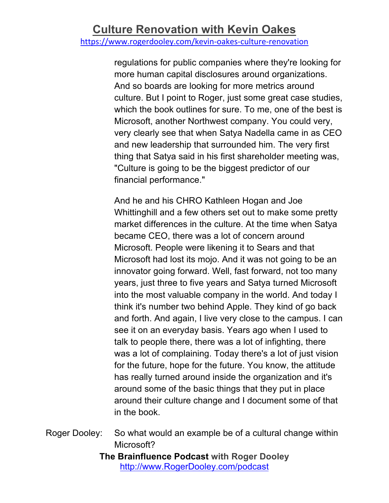https://www.rogerdooley.com/kevin-oakes-culture-renovation

regulations for public companies where they're looking for more human capital disclosures around organizations. And so boards are looking for more metrics around culture. But I point to Roger, just some great case studies, which the book outlines for sure. To me, one of the best is Microsoft, another Northwest company. You could very, very clearly see that when Satya Nadella came in as CEO and new leadership that surrounded him. The very first thing that Satya said in his first shareholder meeting was, "Culture is going to be the biggest predictor of our financial performance."

And he and his CHRO Kathleen Hogan and Joe Whittinghill and a few others set out to make some pretty market differences in the culture. At the time when Satya became CEO, there was a lot of concern around Microsoft. People were likening it to Sears and that Microsoft had lost its mojo. And it was not going to be an innovator going forward. Well, fast forward, not too many years, just three to five years and Satya turned Microsoft into the most valuable company in the world. And today I think it's number two behind Apple. They kind of go back and forth. And again, I live very close to the campus. I can see it on an everyday basis. Years ago when I used to talk to people there, there was a lot of infighting, there was a lot of complaining. Today there's a lot of just vision for the future, hope for the future. You know, the attitude has really turned around inside the organization and it's around some of the basic things that they put in place around their culture change and I document some of that in the book.

Roger Dooley: So what would an example be of a cultural change within Microsoft?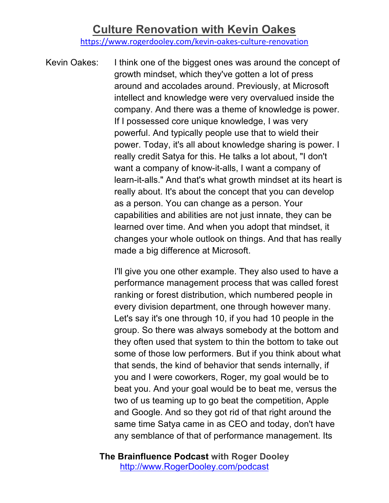https://www.rogerdooley.com/kevin-oakes-culture-renovation

Kevin Oakes: I think one of the biggest ones was around the concept of growth mindset, which they've gotten a lot of press around and accolades around. Previously, at Microsoft intellect and knowledge were very overvalued inside the company. And there was a theme of knowledge is power. If I possessed core unique knowledge, I was very powerful. And typically people use that to wield their power. Today, it's all about knowledge sharing is power. I really credit Satya for this. He talks a lot about, "I don't want a company of know-it-alls, I want a company of learn-it-alls." And that's what growth mindset at its heart is really about. It's about the concept that you can develop as a person. You can change as a person. Your capabilities and abilities are not just innate, they can be learned over time. And when you adopt that mindset, it changes your whole outlook on things. And that has really made a big difference at Microsoft.

> I'll give you one other example. They also used to have a performance management process that was called forest ranking or forest distribution, which numbered people in every division department, one through however many. Let's say it's one through 10, if you had 10 people in the group. So there was always somebody at the bottom and they often used that system to thin the bottom to take out some of those low performers. But if you think about what that sends, the kind of behavior that sends internally, if you and I were coworkers, Roger, my goal would be to beat you. And your goal would be to beat me, versus the two of us teaming up to go beat the competition, Apple and Google. And so they got rid of that right around the same time Satya came in as CEO and today, don't have any semblance of that of performance management. Its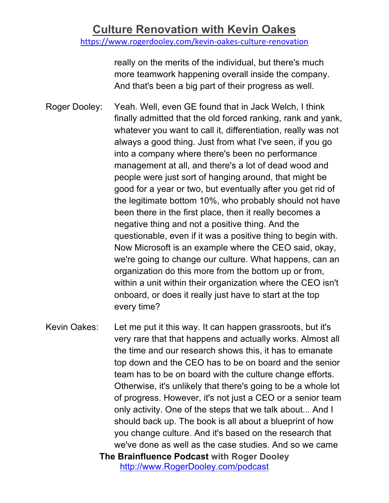https://www.rogerdooley.com/kevin-oakes-culture-renovation

really on the merits of the individual, but there's much more teamwork happening overall inside the company. And that's been a big part of their progress as well.

Roger Dooley: Yeah. Well, even GE found that in Jack Welch, I think finally admitted that the old forced ranking, rank and yank, whatever you want to call it, differentiation, really was not always a good thing. Just from what I've seen, if you go into a company where there's been no performance management at all, and there's a lot of dead wood and people were just sort of hanging around, that might be good for a year or two, but eventually after you get rid of the legitimate bottom 10%, who probably should not have been there in the first place, then it really becomes a negative thing and not a positive thing. And the questionable, even if it was a positive thing to begin with. Now Microsoft is an example where the CEO said, okay, we're going to change our culture. What happens, can an organization do this more from the bottom up or from, within a unit within their organization where the CEO isn't onboard, or does it really just have to start at the top every time?

**The Brainfluence Podcast with Roger Dooley** Kevin Oakes: Let me put it this way. It can happen grassroots, but it's very rare that that happens and actually works. Almost all the time and our research shows this, it has to emanate top down and the CEO has to be on board and the senior team has to be on board with the culture change efforts. Otherwise, it's unlikely that there's going to be a whole lot of progress. However, it's not just a CEO or a senior team only activity. One of the steps that we talk about... And I should back up. The book is all about a blueprint of how you change culture. And it's based on the research that we've done as well as the case studies. And so we came

http://www.RogerDooley.com/podcast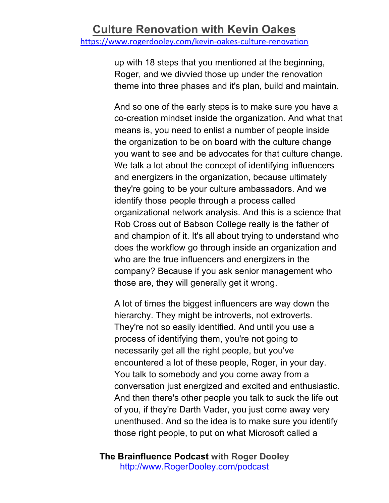up with 18 steps that you mentioned at the beginning, Roger, and we divvied those up under the renovation theme into three phases and it's plan, build and maintain.

And so one of the early steps is to make sure you have a co-creation mindset inside the organization. And what that means is, you need to enlist a number of people inside the organization to be on board with the culture change you want to see and be advocates for that culture change. We talk a lot about the concept of identifying influencers and energizers in the organization, because ultimately they're going to be your culture ambassadors. And we identify those people through a process called organizational network analysis. And this is a science that Rob Cross out of Babson College really is the father of and champion of it. It's all about trying to understand who does the workflow go through inside an organization and who are the true influencers and energizers in the company? Because if you ask senior management who those are, they will generally get it wrong.

A lot of times the biggest influencers are way down the hierarchy. They might be introverts, not extroverts. They're not so easily identified. And until you use a process of identifying them, you're not going to necessarily get all the right people, but you've encountered a lot of these people, Roger, in your day. You talk to somebody and you come away from a conversation just energized and excited and enthusiastic. And then there's other people you talk to suck the life out of you, if they're Darth Vader, you just come away very unenthused. And so the idea is to make sure you identify those right people, to put on what Microsoft called a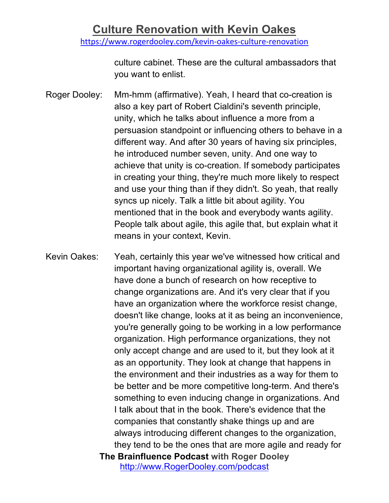https://www.rogerdooley.com/kevin-oakes-culture-renovation

culture cabinet. These are the cultural ambassadors that you want to enlist.

- Roger Dooley: Mm-hmm (affirmative). Yeah, I heard that co-creation is also a key part of Robert Cialdini's seventh principle, unity, which he talks about influence a more from a persuasion standpoint or influencing others to behave in a different way. And after 30 years of having six principles, he introduced number seven, unity. And one way to achieve that unity is co-creation. If somebody participates in creating your thing, they're much more likely to respect and use your thing than if they didn't. So yeah, that really syncs up nicely. Talk a little bit about agility. You mentioned that in the book and everybody wants agility. People talk about agile, this agile that, but explain what it means in your context, Kevin.
- **The Brainfluence Podcast with Roger Dooley** http://www.RogerDooley.com/podcast Kevin Oakes: Yeah, certainly this year we've witnessed how critical and important having organizational agility is, overall. We have done a bunch of research on how receptive to change organizations are. And it's very clear that if you have an organization where the workforce resist change, doesn't like change, looks at it as being an inconvenience, you're generally going to be working in a low performance organization. High performance organizations, they not only accept change and are used to it, but they look at it as an opportunity. They look at change that happens in the environment and their industries as a way for them to be better and be more competitive long-term. And there's something to even inducing change in organizations. And I talk about that in the book. There's evidence that the companies that constantly shake things up and are always introducing different changes to the organization, they tend to be the ones that are more agile and ready for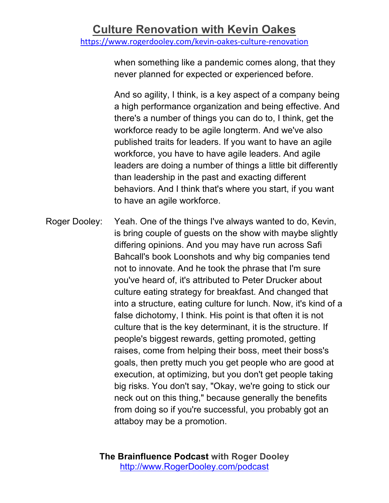when something like a pandemic comes along, that they never planned for expected or experienced before.

And so agility, I think, is a key aspect of a company being a high performance organization and being effective. And there's a number of things you can do to, I think, get the workforce ready to be agile longterm. And we've also published traits for leaders. If you want to have an agile workforce, you have to have agile leaders. And agile leaders are doing a number of things a little bit differently than leadership in the past and exacting different behaviors. And I think that's where you start, if you want to have an agile workforce.

Roger Dooley: Yeah. One of the things I've always wanted to do, Kevin, is bring couple of guests on the show with maybe slightly differing opinions. And you may have run across Safi Bahcall's book Loonshots and why big companies tend not to innovate. And he took the phrase that I'm sure you've heard of, it's attributed to Peter Drucker about culture eating strategy for breakfast. And changed that into a structure, eating culture for lunch. Now, it's kind of a false dichotomy, I think. His point is that often it is not culture that is the key determinant, it is the structure. If people's biggest rewards, getting promoted, getting raises, come from helping their boss, meet their boss's goals, then pretty much you get people who are good at execution, at optimizing, but you don't get people taking big risks. You don't say, "Okay, we're going to stick our neck out on this thing," because generally the benefits from doing so if you're successful, you probably got an attaboy may be a promotion.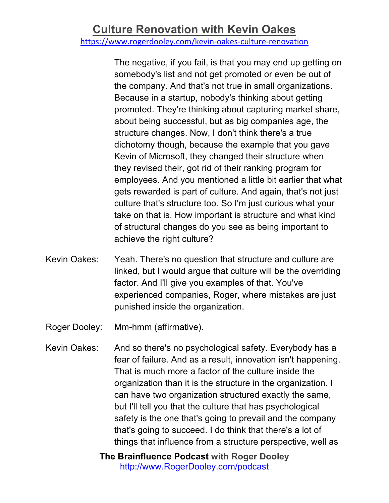https://www.rogerdooley.com/kevin-oakes-culture-renovation

The negative, if you fail, is that you may end up getting on somebody's list and not get promoted or even be out of the company. And that's not true in small organizations. Because in a startup, nobody's thinking about getting promoted. They're thinking about capturing market share, about being successful, but as big companies age, the structure changes. Now, I don't think there's a true dichotomy though, because the example that you gave Kevin of Microsoft, they changed their structure when they revised their, got rid of their ranking program for employees. And you mentioned a little bit earlier that what gets rewarded is part of culture. And again, that's not just culture that's structure too. So I'm just curious what your take on that is. How important is structure and what kind of structural changes do you see as being important to achieve the right culture?

- Kevin Oakes: Yeah. There's no question that structure and culture are linked, but I would argue that culture will be the overriding factor. And I'll give you examples of that. You've experienced companies, Roger, where mistakes are just punished inside the organization.
- Roger Dooley: Mm-hmm (affirmative).
- Kevin Oakes: And so there's no psychological safety. Everybody has a fear of failure. And as a result, innovation isn't happening. That is much more a factor of the culture inside the organization than it is the structure in the organization. I can have two organization structured exactly the same, but I'll tell you that the culture that has psychological safety is the one that's going to prevail and the company that's going to succeed. I do think that there's a lot of things that influence from a structure perspective, well as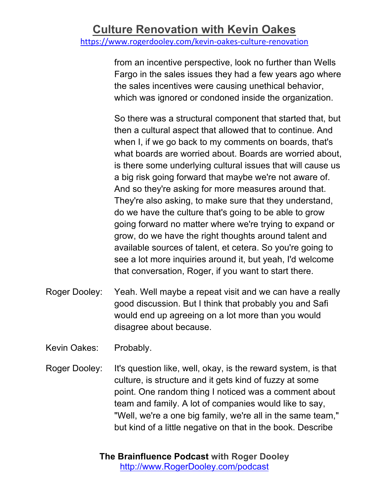from an incentive perspective, look no further than Wells Fargo in the sales issues they had a few years ago where the sales incentives were causing unethical behavior, which was ignored or condoned inside the organization.

So there was a structural component that started that, but then a cultural aspect that allowed that to continue. And when I, if we go back to my comments on boards, that's what boards are worried about. Boards are worried about, is there some underlying cultural issues that will cause us a big risk going forward that maybe we're not aware of. And so they're asking for more measures around that. They're also asking, to make sure that they understand, do we have the culture that's going to be able to grow going forward no matter where we're trying to expand or grow, do we have the right thoughts around talent and available sources of talent, et cetera. So you're going to see a lot more inquiries around it, but yeah, I'd welcome that conversation, Roger, if you want to start there.

- Roger Dooley: Yeah. Well maybe a repeat visit and we can have a really good discussion. But I think that probably you and Safi would end up agreeing on a lot more than you would disagree about because.
- Kevin Oakes: Probably.
- Roger Dooley: It's question like, well, okay, is the reward system, is that culture, is structure and it gets kind of fuzzy at some point. One random thing I noticed was a comment about team and family. A lot of companies would like to say, "Well, we're a one big family, we're all in the same team," but kind of a little negative on that in the book. Describe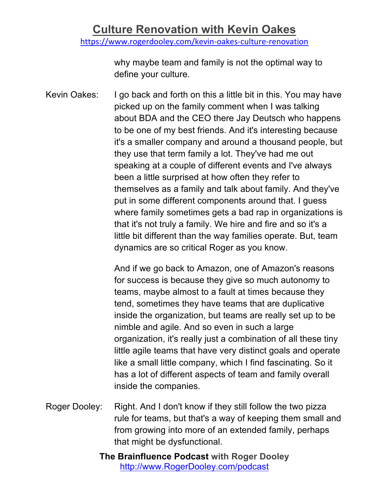why maybe team and family is not the optimal way to define your culture.

Kevin Oakes: I go back and forth on this a little bit in this. You may have picked up on the family comment when I was talking about BDA and the CEO there Jay Deutsch who happens to be one of my best friends. And it's interesting because it's a smaller company and around a thousand people, but they use that term family a lot. They've had me out speaking at a couple of different events and I've always been a little surprised at how often they refer to themselves as a family and talk about family. And they've put in some different components around that. I guess where family sometimes gets a bad rap in organizations is that it's not truly a family. We hire and fire and so it's a little bit different than the way families operate. But, team dynamics are so critical Roger as you know.

> And if we go back to Amazon, one of Amazon's reasons for success is because they give so much autonomy to teams, maybe almost to a fault at times because they tend, sometimes they have teams that are duplicative inside the organization, but teams are really set up to be nimble and agile. And so even in such a large organization, it's really just a combination of all these tiny little agile teams that have very distinct goals and operate like a small little company, which I find fascinating. So it has a lot of different aspects of team and family overall inside the companies.

- Roger Dooley: Right. And I don't know if they still follow the two pizza rule for teams, but that's a way of keeping them small and from growing into more of an extended family, perhaps that might be dysfunctional.
	- **The Brainfluence Podcast with Roger Dooley** http://www.RogerDooley.com/podcast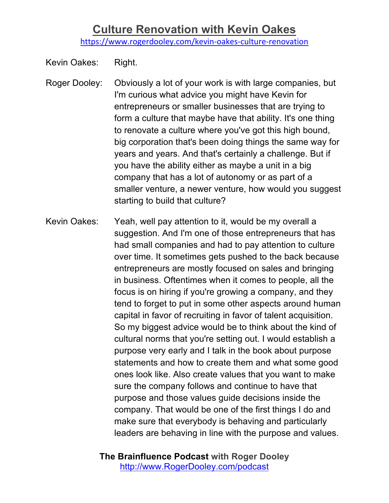https://www.rogerdooley.com/kevin-oakes-culture-renovation

Kevin Oakes: Right.

- Roger Dooley: Obviously a lot of your work is with large companies, but I'm curious what advice you might have Kevin for entrepreneurs or smaller businesses that are trying to form a culture that maybe have that ability. It's one thing to renovate a culture where you've got this high bound, big corporation that's been doing things the same way for years and years. And that's certainly a challenge. But if you have the ability either as maybe a unit in a big company that has a lot of autonomy or as part of a smaller venture, a newer venture, how would you suggest starting to build that culture?
- Kevin Oakes: Yeah, well pay attention to it, would be my overall a suggestion. And I'm one of those entrepreneurs that has had small companies and had to pay attention to culture over time. It sometimes gets pushed to the back because entrepreneurs are mostly focused on sales and bringing in business. Oftentimes when it comes to people, all the focus is on hiring if you're growing a company, and they tend to forget to put in some other aspects around human capital in favor of recruiting in favor of talent acquisition. So my biggest advice would be to think about the kind of cultural norms that you're setting out. I would establish a purpose very early and I talk in the book about purpose statements and how to create them and what some good ones look like. Also create values that you want to make sure the company follows and continue to have that purpose and those values guide decisions inside the company. That would be one of the first things I do and make sure that everybody is behaving and particularly leaders are behaving in line with the purpose and values.
	- **The Brainfluence Podcast with Roger Dooley** http://www.RogerDooley.com/podcast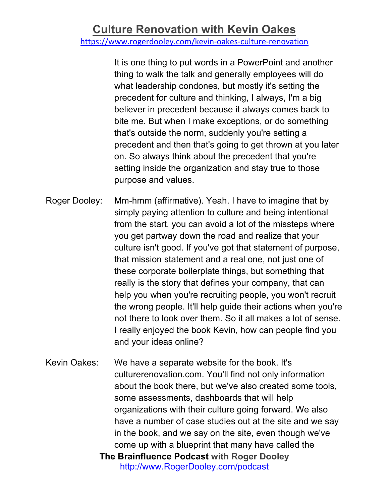https://www.rogerdooley.com/kevin-oakes-culture-renovation

It is one thing to put words in a PowerPoint and another thing to walk the talk and generally employees will do what leadership condones, but mostly it's setting the precedent for culture and thinking, I always, I'm a big believer in precedent because it always comes back to bite me. But when I make exceptions, or do something that's outside the norm, suddenly you're setting a precedent and then that's going to get thrown at you later on. So always think about the precedent that you're setting inside the organization and stay true to those purpose and values.

- Roger Dooley: Mm-hmm (affirmative). Yeah. I have to imagine that by simply paying attention to culture and being intentional from the start, you can avoid a lot of the missteps where you get partway down the road and realize that your culture isn't good. If you've got that statement of purpose, that mission statement and a real one, not just one of these corporate boilerplate things, but something that really is the story that defines your company, that can help you when you're recruiting people, you won't recruit the wrong people. It'll help guide their actions when you're not there to look over them. So it all makes a lot of sense. I really enjoyed the book Kevin, how can people find you and your ideas online?
- **The Brainfluence Podcast with Roger Dooley** http://www.RogerDooley.com/podcast Kevin Oakes: We have a separate website for the book. It's culturerenovation.com. You'll find not only information about the book there, but we've also created some tools, some assessments, dashboards that will help organizations with their culture going forward. We also have a number of case studies out at the site and we say in the book, and we say on the site, even though we've come up with a blueprint that many have called the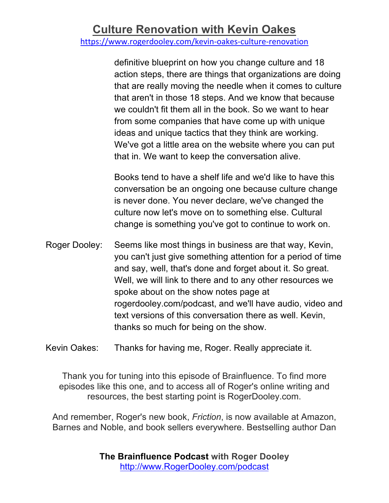https://www.rogerdooley.com/kevin-oakes-culture-renovation

definitive blueprint on how you change culture and 18 action steps, there are things that organizations are doing that are really moving the needle when it comes to culture that aren't in those 18 steps. And we know that because we couldn't fit them all in the book. So we want to hear from some companies that have come up with unique ideas and unique tactics that they think are working. We've got a little area on the website where you can put that in. We want to keep the conversation alive.

Books tend to have a shelf life and we'd like to have this conversation be an ongoing one because culture change is never done. You never declare, we've changed the culture now let's move on to something else. Cultural change is something you've got to continue to work on.

Roger Dooley: Seems like most things in business are that way, Kevin, you can't just give something attention for a period of time and say, well, that's done and forget about it. So great. Well, we will link to there and to any other resources we spoke about on the show notes page at rogerdooley.com/podcast, and we'll have audio, video and text versions of this conversation there as well. Kevin, thanks so much for being on the show.

Kevin Oakes: Thanks for having me, Roger. Really appreciate it.

Thank you for tuning into this episode of Brainfluence. To find more episodes like this one, and to access all of Roger's online writing and resources, the best starting point is RogerDooley.com.

And remember, Roger's new book, *Friction*, is now available at Amazon, Barnes and Noble, and book sellers everywhere. Bestselling author Dan